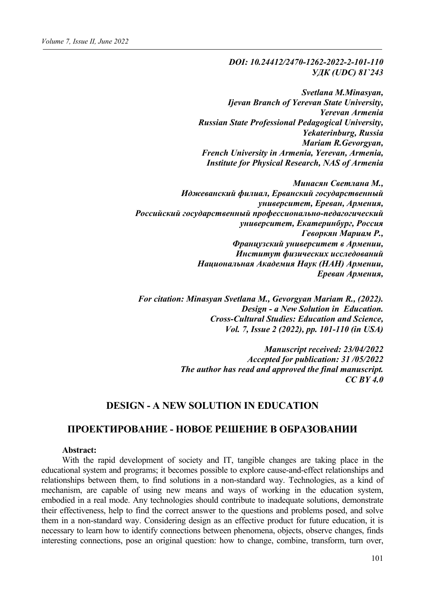### *DOI: 10.24412/2470-1262-2022-2-101-110 УДК (UDC) 81`243*

*Svetlana M.Minasyan, Ijevan Branch of Yerevan State University, Yerevan Armenia Russian State Professional Pedagogical University, Yekaterinburg, Russia Mariam R.Gevorgyan, French University in Armenia, Yerevan, Armenia, Institute for Physical Research, NAS of Armenia*

*Минасян Светлана М., Иджеванский филиал, Ерванский государственный университет, Ереван, Армения, Российский государственный профессионально-педагогический университет, Екатеринбург, Россия Геворкян Мариам Р., Французский университет в Армении, Институт физических исследований Национальная Академия Наук (НАН) Армении, Ереван Армения,* 

*For citation: Minasyan Svetlana M., Gevorgyan Mariam R., (2022). Design - a New Solution in Education. Cross-Cultural Studies: Education and Science, Vol. 7, Issue 2 (2022), pp. 101-110 (in USA)*

> *Manuscript received: 23/04/2022 Accepted for publication: 31 /05/2022 The author has read and approved the final manuscript. CC BY 4.0*

## **DESIGN - A NEW SOLUTION IN EDUCATION**

# **ПРОЕКТИРОВАНИЕ - НОВОЕ РЕШЕНИЕ В ОБРАЗОВАНИИ**

#### **Abstract:**

With the rapid development of society and IT, tangible changes are taking place in the educational system and programs; it becomes possible to explore cause-and-effect relationships and relationships between them, to find solutions in a non-standard way. Technologies, as a kind of mechanism, are capable of using new means and ways of working in the education system, embodied in a real mode. Any technologies should contribute to inadequate solutions, demonstrate their effectiveness, help to find the correct answer to the questions and problems posed, and solve them in a non-standard way. Considering design as an effective product for future education, it is necessary to learn how to identify connections between phenomena, objects, observe changes, finds interesting connections, pose an original question: how to change, combine, transform, turn over,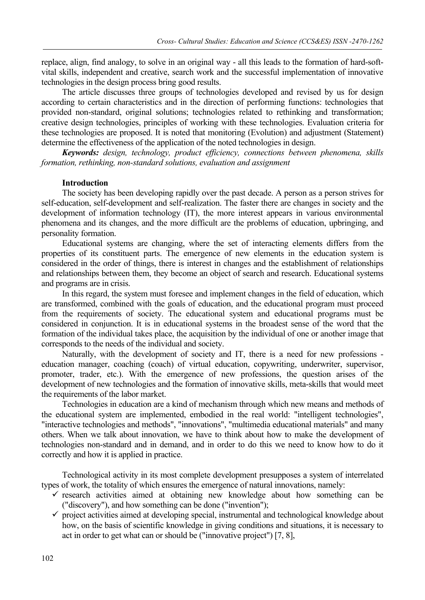replace, align, find analogy, to solve in an original way - all this leads to the formation of hard-softvital skills, independent and creative, search work and the successful implementation of innovative technologies in the design process bring good results.

The article discusses three groups of technologies developed and revised by us for design according to certain characteristics and in the direction of performing functions: technologies that provided non-standard, original solutions; technologies related to rethinking and transformation; creative design technologies, principles of working with these technologies. Evaluation criteria for these technologies are proposed. It is noted that monitoring (Evolution) and adjustment (Statement) determine the effectiveness of the application of the noted technologies in design.

*Keywords: design, technology, product efficiency, connections between phenomena, skills formation, rethinking, non-standard solutions, evaluation and assignment*

#### **Introduction**

The society has been developing rapidly over the past decade. A person as a person strives for self-education, self-development and self-realization. The faster there are changes in society and the development of information technology (IT), the more interest appears in various environmental phenomena and its changes, and the more difficult are the problems of education, upbringing, and personality formation.

Educational systems are changing, where the set of interacting elements differs from the properties of its constituent parts. The emergence of new elements in the education system is considered in the order of things, there is interest in changes and the establishment of relationships and relationships between them, they become an object of search and research. Educational systems and programs are in crisis.

In this regard, the system must foresee and implement changes in the field of education, which are transformed, combined with the goals of education, and the educational program must proceed from the requirements of society. The educational system and educational programs must be considered in conjunction. It is in educational systems in the broadest sense of the word that the formation of the individual takes place, the acquisition by the individual of one or another image that corresponds to the needs of the individual and society.

Naturally, with the development of society and IT, there is a need for new professions education manager, coaching (coach) of virtual education, copywriting, underwriter, supervisor, promoter, trader, etc.). With the emergence of new professions, the question arises of the development of new technologies and the formation of innovative skills, meta-skills that would meet the requirements of the labor market.

Technologies in education are a kind of mechanism through which new means and methods of the educational system are implemented, embodied in the real world: "intelligent technologies", "interactive technologies and methods", "innovations", "multimedia educational materials" and many others. When we talk about innovation, we have to think about how to make the development of technologies non-standard and in demand, and in order to do this we need to know how to do it correctly and how it is applied in practice.

Technological activity in its most complete development presupposes a system of interrelated types of work, the totality of which ensures the emergence of natural innovations, namely:

- $\checkmark$  research activities aimed at obtaining new knowledge about how something can be ("discovery"), and how something can be done ("invention");
- $\checkmark$  project activities aimed at developing special, instrumental and technological knowledge about how, on the basis of scientific knowledge in giving conditions and situations, it is necessary to act in order to get what can or should be ("innovative project") [7, 8],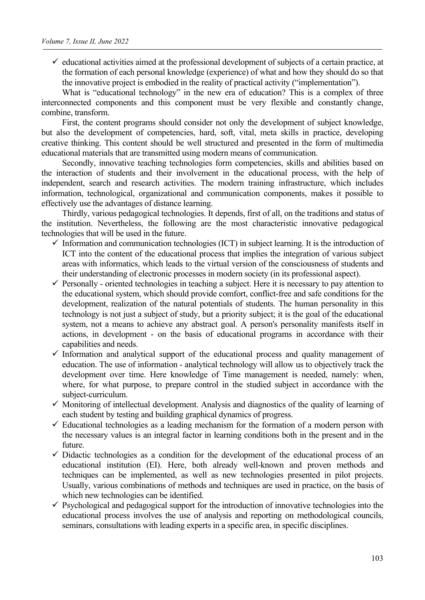$\checkmark$  educational activities aimed at the professional development of subjects of a certain practice, at the formation of each personal knowledge (experience) of what and how they should do so that the innovative project is embodied in the reality of practical activity ("implementation").

What is "educational technology" in the new era of education? This is a complex of three interconnected components and this component must be very flexible and constantly change, combine, transform.

First, the content programs should consider not only the development of subject knowledge, but also the development of competencies, hard, soft, vital, meta skills in practice, developing creative thinking. This content should be well structured and presented in the form of multimedia educational materials that are transmitted using modern means of communication.

Secondly, innovative teaching technologies form competencies, skills and abilities based on the interaction of students and their involvement in the educational process, with the help of independent, search and research activities. The modern training infrastructure, which includes information, technological, organizational and communication components, makes it possible to effectively use the advantages of distance learning.

Thirdly, various pedagogical technologies. It depends, first of all, on the traditions and status of the institution. Nevertheless, the following are the most characteristic innovative pedagogical technologies that will be used in the future.

- $\checkmark$  Information and communication technologies (ICT) in subject learning. It is the introduction of ICT into the content of the educational process that implies the integration of various subject areas with informatics, which leads to the virtual version of the consciousness of students and their understanding of electronic processes in modern society (in its professional aspect).
- $\checkmark$  Personally oriented technologies in teaching a subject. Here it is necessary to pay attention to the educational system, which should provide comfort, conflict-free and safe conditions for the development, realization of the natural potentials of students. The human personality in this technology is not just a subject of study, but a priority subject; it is the goal of the educational system, not a means to achieve any abstract goal. A person's personality manifests itself in actions, in development - on the basis of educational programs in accordance with their capabilities and needs.
- $\checkmark$  Information and analytical support of the educational process and quality management of education. The use of information - analytical technology will allow us to objectively track the development over time. Here knowledge of Time management is needed, namely: when, where, for what purpose, to prepare control in the studied subject in accordance with the subject-curriculum.
- $\checkmark$  Monitoring of intellectual development. Analysis and diagnostics of the quality of learning of each student by testing and building graphical dynamics of progress.
- $\checkmark$  Educational technologies as a leading mechanism for the formation of a modern person with the necessary values is an integral factor in learning conditions both in the present and in the future.
- $\checkmark$  Didactic technologies as a condition for the development of the educational process of an educational institution (EI). Here, both already well-known and proven methods and techniques can be implemented, as well as new technologies presented in pilot projects. Usually, various combinations of methods and techniques are used in practice, on the basis of which new technologies can be identified.
- $\checkmark$  Psychological and pedagogical support for the introduction of innovative technologies into the educational process involves the use of analysis and reporting on methodological councils, seminars, consultations with leading experts in a specific area, in specific disciplines.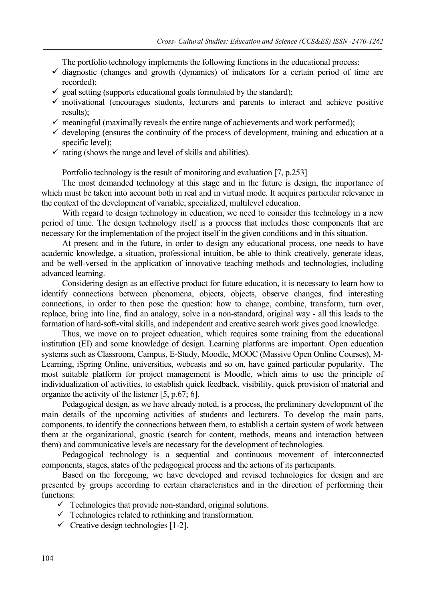The portfolio technology implements the following functions in the educational process:

- $\checkmark$  diagnostic (changes and growth (dynamics) of indicators for a certain period of time are recorded);
- $\checkmark$  goal setting (supports educational goals formulated by the standard);
- $\checkmark$  motivational (encourages students, lecturers and parents to interact and achieve positive results);
- $\checkmark$  meaningful (maximally reveals the entire range of achievements and work performed);
- $\checkmark$  developing (ensures the continuity of the process of development, training and education at a specific level);
- $\checkmark$  rating (shows the range and level of skills and abilities).

Portfolio technology is the result of monitoring and evaluation [7, p.253]

The most demanded technology at this stage and in the future is design, the importance of which must be taken into account both in real and in virtual mode. It acquires particular relevance in the context of the development of variable, specialized, multilevel education.

With regard to design technology in education, we need to consider this technology in a new period of time. The design technology itself is a process that includes those components that are necessary for the implementation of the project itself in the given conditions and in this situation.

At present and in the future, in order to design any educational process, one needs to have academic knowledge, a situation, professional intuition, be able to think creatively, generate ideas, and be well-versed in the application of innovative teaching methods and technologies, including advanced learning.

Considering design as an effective product for future education, it is necessary to learn how to identify connections between phenomena, objects, objects, observe changes, find interesting connections, in order to then pose the question: how to change, combine, transform, turn over, replace, bring into line, find an analogy, solve in a non-standard, original way - all this leads to the formation of hard-soft-vital skills, and independent and creative search work gives good knowledge.

Thus, we move on to project education, which requires some training from the educational institution (EI) and some knowledge of design. Learning platforms are important. Open education systems such as Classroom, Campus, E-Study, Moodle, МООС (Massive Open Online Courses), M-Learning, iSpring Online, universities, webcasts and so on, have gained particular popularity. The most suitable platform for project management is Moodle, which aims to use the principle of individualization of activities, to establish quick feedback, visibility, quick provision of material and organize the activity of the listener [5, p.67; 6].

Pedagogical design, as we have already noted, is a process, the preliminary development of the main details of the upcoming activities of students and lecturers. To develop the main parts, components, to identify the connections between them, to establish a certain system of work between them at the organizational, gnostic (search for content, methods, means and interaction between them) and communicative levels are necessary for the development of technologies.

Pedagogical technology is a sequential and continuous movement of interconnected components, stages, states of the pedagogical process and the actions of its participants.

Based on the foregoing, we have developed and revised technologies for design and are presented by groups according to certain characteristics and in the direction of performing their functions:

- $\checkmark$  Technologies that provide non-standard, original solutions.
- $\checkmark$  Technologies related to rethinking and transformation.
- $\checkmark$  Creative design technologies [1-2].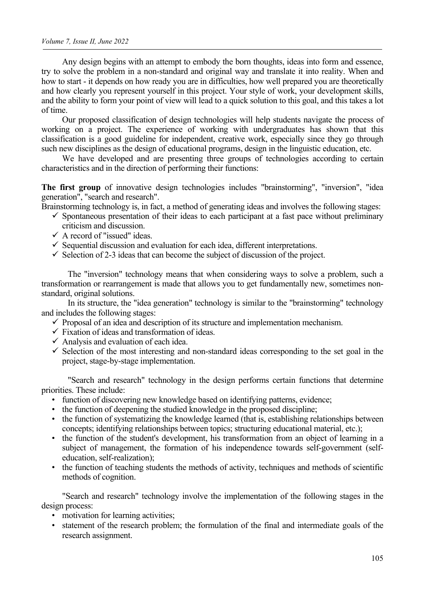Any design begins with an attempt to embody the born thoughts, ideas into form and essence, try to solve the problem in a non-standard and original way and translate it into reality. When and how to start - it depends on how ready you are in difficulties, how well prepared you are theoretically and how clearly you represent yourself in this project. Your style of work, your development skills, and the ability to form your point of view will lead to a quick solution to this goal, and this takes a lot of time.

Our proposed classification of design technologies will help students navigate the process of working on a project. The experience of working with undergraduates has shown that this classification is a good guideline for independent, creative work, especially since they go through such new disciplines as the design of educational programs, design in the linguistic education, etc.

We have developed and are presenting three groups of technologies according to certain characteristics and in the direction of performing their functions:

**The first group** of innovative design technologies includes "brainstorming", "inversion", "idea generation", "search and research".

Brainstorming technology is, in fact, a method of generating ideas and involves the following stages:

- $\checkmark$  Spontaneous presentation of their ideas to each participant at a fast pace without preliminary criticism and discussion.
- $\checkmark$  A record of "issued" ideas.
- $\checkmark$  Sequential discussion and evaluation for each idea, different interpretations.
- $\checkmark$  Selection of 2-3 ideas that can become the subject of discussion of the project.

The "inversion" technology means that when considering ways to solve a problem, such a transformation or rearrangement is made that allows you to get fundamentally new, sometimes nonstandard, original solutions.

In its structure, the "idea generation" technology is similar to the "brainstorming" technology and includes the following stages:

- $\checkmark$  Proposal of an idea and description of its structure and implementation mechanism.
- $\checkmark$  Fixation of ideas and transformation of ideas.
- $\checkmark$  Analysis and evaluation of each idea.
- $\checkmark$  Selection of the most interesting and non-standard ideas corresponding to the set goal in the project, stage-by-stage implementation.

"Search and research" technology in the design performs certain functions that determine priorities. These include:

- function of discovering new knowledge based on identifying patterns, evidence;
- the function of deepening the studied knowledge in the proposed discipline;
- the function of systematizing the knowledge learned (that is, establishing relationships between concepts; identifying relationships between topics; structuring educational material, etc.);
- the function of the student's development, his transformation from an object of learning in a subject of management, the formation of his independence towards self-government (selfeducation, self-realization);
- the function of teaching students the methods of activity, techniques and methods of scientific methods of cognition.

"Search and research" technology involve the implementation of the following stages in the design process:

- motivation for learning activities;
- statement of the research problem; the formulation of the final and intermediate goals of the research assignment.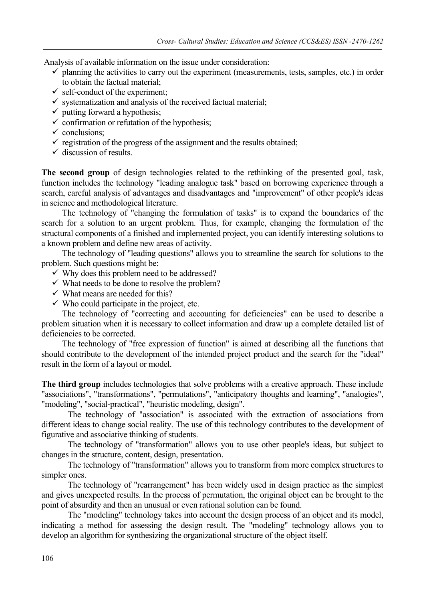Analysis of available information on the issue under consideration:

- $\checkmark$  planning the activities to carry out the experiment (measurements, tests, samples, etc.) in order to obtain the factual material;
- $\checkmark$  self-conduct of the experiment;
- $\checkmark$  systematization and analysis of the received factual material;
- $\checkmark$  putting forward a hypothesis;
- $\checkmark$  confirmation or refutation of the hypothesis;
- $\checkmark$  conclusions:
- $\checkmark$  registration of the progress of the assignment and the results obtained;
- $\checkmark$  discussion of results.

**The second group** of design technologies related to the rethinking of the presented goal, task, function includes the technology "leading analogue task" based on borrowing experience through a search, careful analysis of advantages and disadvantages and "improvement" of other people's ideas in science and methodological literature.

The technology of "changing the formulation of tasks" is to expand the boundaries of the search for a solution to an urgent problem. Thus, for example, changing the formulation of the structural components of a finished and implemented project, you can identify interesting solutions to a known problem and define new areas of activity.

The technology of "leading questions" allows you to streamline the search for solutions to the problem. Such questions might be:

- $\checkmark$  Why does this problem need to be addressed?
- $\checkmark$  What needs to be done to resolve the problem?
- $\checkmark$  What means are needed for this?
- $\checkmark$  Who could participate in the project, etc.

The technology of "correcting and accounting for deficiencies" can be used to describe a problem situation when it is necessary to collect information and draw up a complete detailed list of deficiencies to be corrected.

The technology of "free expression of function" is aimed at describing all the functions that should contribute to the development of the intended project product and the search for the "ideal" result in the form of a layout or model.

**The third group** includes technologies that solve problems with a creative approach. These include "associations", "transformations", "permutations", "anticipatory thoughts and learning", "analogies", "modeling", "social-practical", "heuristic modeling, design".

The technology of "association" is associated with the extraction of associations from different ideas to change social reality. The use of this technology contributes to the development of figurative and associative thinking of students.

The technology of "transformation" allows you to use other people's ideas, but subject to changes in the structure, content, design, presentation.

The technology of "transformation" allows you to transform from more complex structures to simpler ones.

The technology of "rearrangement" has been widely used in design practice as the simplest and gives unexpected results. In the process of permutation, the original object can be brought to the point of absurdity and then an unusual or even rational solution can be found.

The "modeling" technology takes into account the design process of an object and its model, indicating a method for assessing the design result. The "modeling" technology allows you to develop an algorithm for synthesizing the organizational structure of the object itself.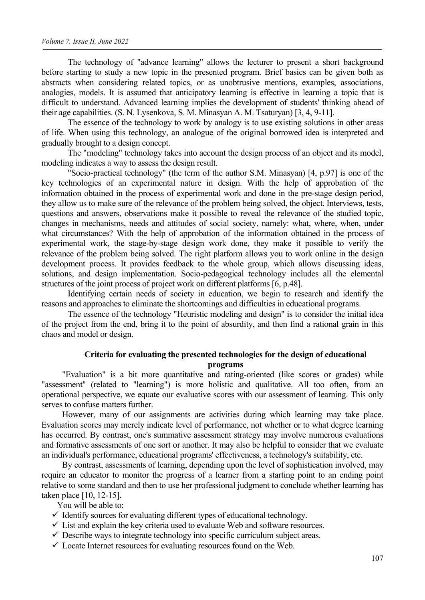The technology of "advance learning" allows the lecturer to present a short background before starting to study a new topic in the presented program. Brief basics can be given both as abstracts when considering related topics, or as unobtrusive mentions, examples, associations, analogies, models. It is assumed that anticipatory learning is effective in learning a topic that is difficult to understand. Advanced learning implies the development of students' thinking ahead of their age capabilities. (S. N. Lysenkova, S. M. Minasyan A. M. Tsaturyan) [3, 4, 9-11].

The essence of the technology to work by analogy is to use existing solutions in other areas of life. When using this technology, an analogue of the original borrowed idea is interpreted and gradually brought to a design concept.

The "modeling" technology takes into account the design process of an object and its model, modeling indicates a way to assess the design result.

"Socio-practical technology" (the term of the author S.M. Minasyan) [4, p.97] is one of the key technologies of an experimental nature in design. With the help of approbation of the information obtained in the process of experimental work and done in the pre-stage design period, they allow us to make sure of the relevance of the problem being solved, the object. Interviews, tests, questions and answers, observations make it possible to reveal the relevance of the studied topic, changes in mechanisms, needs and attitudes of social society, namely: what, where, when, under what circumstances? With the help of approbation of the information obtained in the process of experimental work, the stage-by-stage design work done, they make it possible to verify the relevance of the problem being solved. The right platform allows you to work online in the design development process. It provides feedback to the whole group, which allows discussing ideas, solutions, and design implementation. Socio-pedagogical technology includes all the elemental structures of the joint process of project work on different platforms [6, p.48].

Identifying certain needs of society in education, we begin to research and identify the reasons and approaches to eliminate the shortcomings and difficulties in educational programs.

The essence of the technology "Heuristic modeling and design" is to consider the initial idea of the project from the end, bring it to the point of absurdity, and then find a rational grain in this chaos and model or design.

### **Criteria for evaluating the presented technologies for the design of educational programs**

"Evaluation" is a bit more quantitative and rating-oriented (like scores or grades) while "assessment" (related to "learning") is more holistic and qualitative. All too often, from an operational perspective, we equate our evaluative scores with our assessment of learning. This only serves to confuse matters further.

However, many of our assignments are activities during which learning may take place. Evaluation scores may merely indicate level of performance, not whether or to what degree learning has occurred. By contrast, one's summative assessment strategy may involve numerous evaluations and formative assessments of one sort or another. It may also be helpful to consider that we evaluate an individual's performance, educational programs' effectiveness, a technology's suitability, etc.

By contrast, assessments of learning, depending upon the level of sophistication involved, may require an educator to monitor the progress of a learner from a starting point to an ending point relative to some standard and then to use her professional judgment to conclude whether learning has taken place [10, 12-15].

You will be able to:

- $\checkmark$  Identify sources for evaluating different types of educational technology.
- $\checkmark$  List and explain the key criteria used to evaluate Web and software resources.
- $\checkmark$  Describe ways to integrate technology into specific curriculum subject areas.
- $\checkmark$  Locate Internet resources for evaluating resources found on the Web.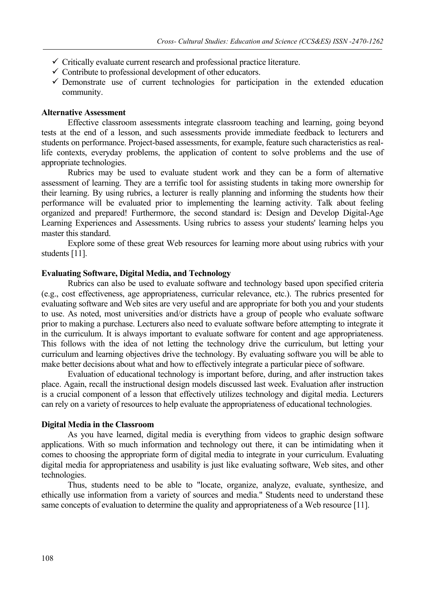- $\checkmark$  Critically evaluate current research and professional practice literature.
- $\checkmark$  Contribute to professional development of other educators.
- $\checkmark$  Demonstrate use of current technologies for participation in the extended education community.

#### **Alternative Assessment**

Effective classroom assessments integrate classroom teaching and learning, going beyond tests at the end of a lesson, and such assessments provide immediate feedback to lecturers and students on performance. Project-based assessments, for example, feature such characteristics as reallife contexts, everyday problems, the application of content to solve problems and the use of appropriate technologies.

Rubrics may be used to evaluate student work and they can be a form of alternative assessment of learning. They are a terrific tool for assisting students in taking more ownership for their learning. By using rubrics, a lecturer is really planning and informing the students how their performance will be evaluated prior to implementing the learning activity. Talk about feeling organized and prepared! Furthermore, the second standard is: Design and Develop Digital-Age Learning Experiences and Assessments. Using rubrics to assess your students' learning helps you master this standard.

Explore some of these great Web resources for learning more about using rubrics with your students [11].

#### **Evaluating Software, Digital Media, and Technology**

Rubrics can also be used to evaluate software and technology based upon specified criteria (e.g., cost effectiveness, age appropriateness, curricular relevance, etc.). The rubrics presented for evaluating software and Web sites are very useful and are appropriate for both you and your students to use. As noted, most universities and/or districts have a group of people who evaluate software prior to making a purchase. Lecturers also need to evaluate software before attempting to integrate it in the curriculum. It is always important to evaluate software for content and age appropriateness. This follows with the idea of not letting the technology drive the curriculum, but letting your curriculum and learning objectives drive the technology. By evaluating software you will be able to make better decisions about what and how to effectively integrate a particular piece of software.

Evaluation of educational technology is important before, during, and after instruction takes place. Again, recall the instructional design models discussed last week. Evaluation after instruction is a crucial component of a lesson that effectively utilizes technology and digital media. Lecturers can rely on a variety of resources to help evaluate the appropriateness of educational technologies.

#### **Digital Media in the Classroom**

As you have learned, digital media is everything from videos to graphic design software applications. With so much information and technology out there, it can be intimidating when it comes to choosing the appropriate form of digital media to integrate in your curriculum. Evaluating digital media for appropriateness and usability is just like evaluating software, Web sites, and other technologies.

Thus, students need to be able to "locate, organize, analyze, evaluate, synthesize, and ethically use information from a variety of sources and media." Students need to understand these same concepts of evaluation to determine the quality and appropriateness of a Web resource [11].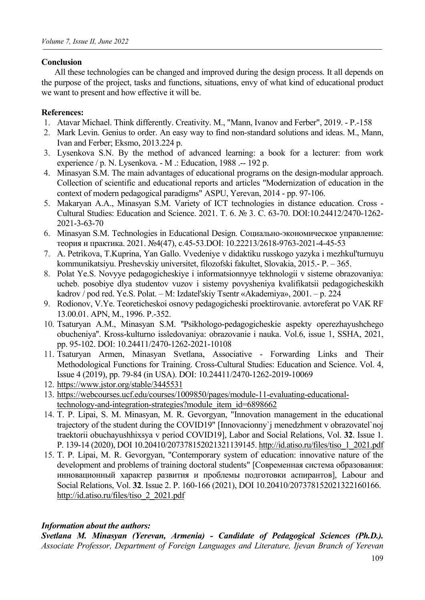## **Conclusion**

All these technologies can be changed and improved during the design process. It all depends on the purpose of the project, tasks and functions, situations, envy of what kind of educational product we want to present and how effective it will be.

# **References:**

- 1. Atavar Michael. Think differently. Creativity. M., "Mann, Ivanov and Ferber", 2019. P.-158
- 2. Mark Levin. Genius to order. An easy way to find non-standard solutions and ideas. M., Mann, Ivan and Ferber; Eksmo, 2013.224 p.
- 3. Lysenkova S.N. By the method of advanced learning: a book for a lecturer: from work experience / p. N. Lysenkova. - M .: Education, 1988 .-- 192 p.
- 4. Minasyan S.M. The main advantages of educational programs on the design-modular approach. Collection of scientific and educational reports and articles "Modernization of education in the context of modern pedagogical paradigms" ASPU, Yerevan, 2014 - pp. 97-106.
- 5. Makaryan A.A., Minasyan S.M. Variety of ICT technologies in distance education. Cross Cultural Studies: Education and Science. 2021. Т. 6. № 3. С. 63-70. DOI:10.24412/2470-1262- 2021-3-63-70
- 6. Minasyan S.M. Technologies in Educational Design. Социально-экономическое управление: теория и практика. 2021. №4(47), с.45-53.DOI: 10.22213/2618-9763-2021-4-45-53
- 7. A. Petrikova, T.Kuprina, Yan Gallo. Vvedeniye v didaktiku russkogo yazyka i mezhkul'turnuyu kommunikatsiyu. Preshevskiy universitet, filozofski fakultet, Slovakia, 2015.- P. – 365.
- 8. Polat Ye.S. Novyye pedagogicheskiye i informatsionnyye tekhnologii v sisteme obrazovaniya: ucheb. posobiye dlya studentov vuzov i sistemy povysheniya kvalifikatsii pedagogicheskikh kadrov / pod red. Ye.S. Polat. – M: Izdatel'skiy Tsentr «Akademiya», 2001. – p. 224
- 9. Rodionov, V.Ye. Teoreticheskoi osnovy pedagogicheski proektirovanie. avtoreferat po VAK RF 13.00.01. APN, M., 1996. P.-352.
- 10. Tsaturyan A.M., Minasyan S.M. ''Psikhologo-pedagogicheskie aspekty operezhayushchego obucheniya''. Kross-kulturno issledovaniya: obrazovanie i nauka. Vol.6, issue 1, SSHA, 2021, pp. 95-102. DOI: 10.24411/2470-1262-2021-10108
- 11. Tsaturyan Armen, Minasyan Svetlana, Associative Forwarding Links and Their Methodological Functions for Training. Cross-Cultural Studies: Education and Science. Vol. 4, [Issue 4 \(2019\), pp. 79-84 \(in USA\). D](https://www.jstor.org/stable/3445531)OI: 10.24411/2470-1262-2019-10069
- 12. [https://www.jstor.org/stable/3445531](https://webcourses.ucf.edu/courses/1009850/pages/module-11-evaluating-educational-technology-and-integration-strategies?module_item_id=6898662)
- 13. [https://webcourses.ucf.edu/courses/1009850/pages/module-11-eva](https://webcourses.ucf.edu/courses/1009850/pages/module-11-evaluating-educational-technology-and-integration-strategies?module_item_id=6898662)luating-educationaltechnology-and-integration-strategies?module\_item\_id=6898662
- 14. T. P. Lipai, S. M. Minasyan, M. R. Gevorgyan, "Innovation management in the educational trajectory of the student during the COVID19" [Innovacionny`j menedzhment v obrazovatel`noj traektorii obuchayushhixsya v period COVID19], Labor and Social Relations, Vol. **32**. Issue 1. P. 139-14 [\(2020\), DOI 10.20410/20737](http://id.atiso.ru/files/tiso_1_2021.pdf)8152021321139145. http://id.atiso.ru/files/tiso\_1\_2021.pdf
- 15. T. P. Lipai, M. R. Gevorgyan, "Contemporary system of education: innovative nature of the development and problems of training doctoral students" [Современная система образования: инновационный характер развития и проблемы подготовки аспирантов], Labour and Social Relations, Vol. **32**. Issue 2. P. 160-166 (2021), DOI 10.20410/207378152021322160166. [http://id.atiso.ru/files/tiso\\_2\\_2021.pdf](http://id.atiso.ru/files/tiso_2_2021.pdf)

## *Information about the authors:*

*Svetlana M. Minasyan (Yerevan, Armenia) - Candidate of Pedagogical Sciences (Ph.D.). Associate Professor, Department of Foreign Languages and Literature, Ijevan Branch of Yerevan*